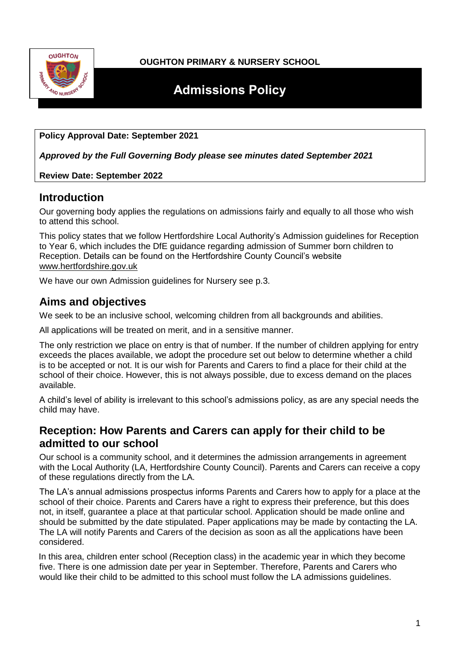

### **OUGHTON PRIMARY & NURSERY SCHOOL**

# **Admissions Policy**

### **Policy Approval Date: September 2021**

*Approved by the Full Governing Body please see minutes dated September 2021*

### **Review Date: September 2022**

### **Introduction**

Our governing body applies the regulations on admissions fairly and equally to all those who wish to attend this school.

This policy states that we follow Hertfordshire Local Authority's Admission guidelines for Reception to Year 6, which includes the DfE guidance regarding admission of Summer born children to Reception. Details can be found on the Hertfordshire County Council's website [www.hertfordshire.gov.uk](http://www.hertfordshire.gov.uk/)

We have our own Admission guidelines for Nursery see p.3.

# **Aims and objectives**

We seek to be an inclusive school, welcoming children from all backgrounds and abilities.

All applications will be treated on merit, and in a sensitive manner.

The only restriction we place on entry is that of number. If the number of children applying for entry exceeds the places available, we adopt the procedure set out below to determine whether a child is to be accepted or not. It is our wish for Parents and Carers to find a place for their child at the school of their choice. However, this is not always possible, due to excess demand on the places available.

A child's level of ability is irrelevant to this school's admissions policy, as are any special needs the child may have.

# **Reception: How Parents and Carers can apply for their child to be admitted to our school**

Our school is a community school, and it determines the admission arrangements in agreement with the Local Authority (LA, Hertfordshire County Council). Parents and Carers can receive a copy of these regulations directly from the LA.

The LA's annual admissions prospectus informs Parents and Carers how to apply for a place at the school of their choice. Parents and Carers have a right to express their preference, but this does not, in itself, guarantee a place at that particular school. Application should be made online and should be submitted by the date stipulated. Paper applications may be made by contacting the LA. The LA will notify Parents and Carers of the decision as soon as all the applications have been considered.

In this area, children enter school (Reception class) in the academic year in which they become five. There is one admission date per year in September. Therefore, Parents and Carers who would like their child to be admitted to this school must follow the LA admissions guidelines.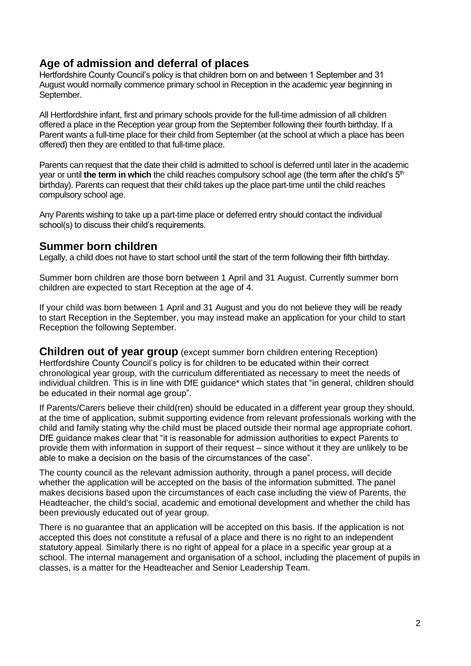# **Age of admission and deferral of places**

Hertfordshire County Council's policy is that children born on and between 1 September and 31 August would normally commence primary school in Reception in the academic year beginning in September.

All Hertfordshire infant, first and primary schools provide for the full-time admission of all children offered a place in the Reception year group from the September following their fourth birthday. If a Parent wants a full-time place for their child from September (at the school at which a place has been offered) then they are entitled to that full-time place.

Parents can request that the date their child is admitted to school is deferred until later in the academic year or until **the term in which** the child reaches compulsory school age (the term after the child's 5<sup>th</sup>) birthday). Parents can request that their child takes up the place part-time until the child reaches compulsory school age.

Any Parents wishing to take up a part-time place or deferred entry should contact the individual school(s) to discuss their child's requirements.

# **Summer born children**

Legally, a child does not have to start school until the start of the term following their fifth birthday.

Summer born children are those born between 1 April and 31 August. Currently summer born children are expected to start Reception at the age of 4.

If your child was born between 1 April and 31 August and you do not believe they will be ready to start Reception in the September, you may instead make an application for your child to start Reception the following September.

**Children out of year group** (except summer born children entering Reception) Hertfordshire County Council's policy is for children to be educated within their correct chronological year group, with the curriculum differentiated as necessary to meet the needs of individual children. This is in line with DfE guidance\* which states that "in general, children should be educated in their normal age group".

If Parents/Carers believe their child(ren) should be educated in a different year group they should, at the time of application, submit supporting evidence from relevant professionals working with the child and family stating why the child must be placed outside their normal age appropriate cohort. DfE guidance makes clear that "it is reasonable for admission authorities to expect Parents to provide them with information in support of their request – since without it they are unlikely to be able to make a decision on the basis of the circumstances of the case".

The county council as the relevant admission authority, through a panel process, will decide whether the application will be accepted on the basis of the information submitted. The panel makes decisions based upon the circumstances of each case including the view of Parents, the Headteacher, the child's social, academic and emotional development and whether the child has been previously educated out of year group.

There is no guarantee that an application will be accepted on this basis. If the application is not accepted this does not constitute a refusal of a place and there is no right to an independent statutory appeal. Similarly there is no right of appeal for a place in a specific year group at a school. The internal management and organisation of a school, including the placement of pupils in classes, is a matter for the Headteacher and Senior Leadership Team.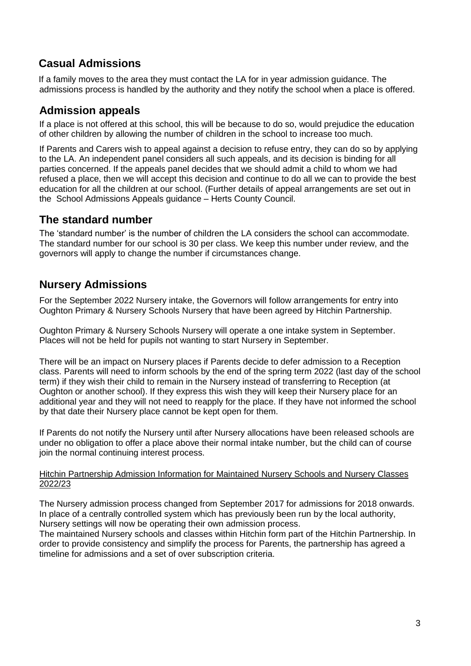# **Casual Admissions**

If a family moves to the area they must contact the LA for in year admission guidance. The admissions process is handled by the authority and they notify the school when a place is offered.

# **Admission appeals**

If a place is not offered at this school, this will be because to do so, would prejudice the education of other children by allowing the number of children in the school to increase too much.

If Parents and Carers wish to appeal against a decision to refuse entry, they can do so by applying to the LA. An independent panel considers all such appeals, and its decision is binding for all parties concerned. If the appeals panel decides that we should admit a child to whom we had refused a place, then we will accept this decision and continue to do all we can to provide the best education for all the children at our school. (Further details of appeal arrangements are set out in the School Admissions Appeals guidance – Herts County Council.

# **The standard number**

The 'standard number' is the number of children the LA considers the school can accommodate. The standard number for our school is 30 per class. We keep this number under review, and the governors will apply to change the number if circumstances change.

# **Nursery Admissions**

For the September 2022 Nursery intake, the Governors will follow arrangements for entry into Oughton Primary & Nursery Schools Nursery that have been agreed by Hitchin Partnership.

Oughton Primary & Nursery Schools Nursery will operate a one intake system in September. Places will not be held for pupils not wanting to start Nursery in September.

There will be an impact on Nursery places if Parents decide to defer admission to a Reception class. Parents will need to inform schools by the end of the spring term 2022 (last day of the school term) if they wish their child to remain in the Nursery instead of transferring to Reception (at Oughton or another school). If they express this wish they will keep their Nursery place for an additional year and they will not need to reapply for the place. If they have not informed the school by that date their Nursery place cannot be kept open for them.

If Parents do not notify the Nursery until after Nursery allocations have been released schools are under no obligation to offer a place above their normal intake number, but the child can of course join the normal continuing interest process.

### Hitchin Partnership Admission Information for Maintained Nursery Schools and Nursery Classes 2022/23

The Nursery admission process changed from September 2017 for admissions for 2018 onwards. In place of a centrally controlled system which has previously been run by the local authority, Nursery settings will now be operating their own admission process.

The maintained Nursery schools and classes within Hitchin form part of the Hitchin Partnership. In order to provide consistency and simplify the process for Parents, the partnership has agreed a timeline for admissions and a set of over subscription criteria.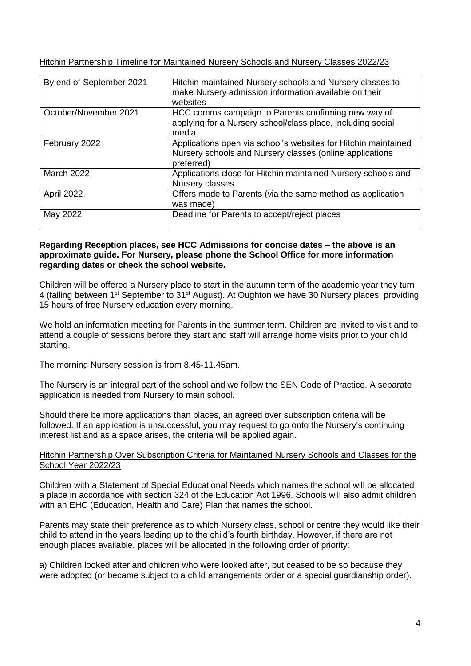Hitchin Partnership Timeline for Maintained Nursery Schools and Nursery Classes 2022/23

| By end of September 2021 | Hitchin maintained Nursery schools and Nursery classes to<br>make Nursery admission information available on their<br>websites           |
|--------------------------|------------------------------------------------------------------------------------------------------------------------------------------|
| October/November 2021    | HCC comms campaign to Parents confirming new way of<br>applying for a Nursery school/class place, including social<br>media.             |
| February 2022            | Applications open via school's websites for Hitchin maintained<br>Nursery schools and Nursery classes (online applications<br>preferred) |
| <b>March 2022</b>        | Applications close for Hitchin maintained Nursery schools and<br>Nursery classes                                                         |
| April 2022               | Offers made to Parents (via the same method as application<br>was made)                                                                  |
| May 2022                 | Deadline for Parents to accept/reject places                                                                                             |

#### **Regarding Reception places, see HCC Admissions for concise dates – the above is an approximate guide. For Nursery, please phone the School Office for more information regarding dates or check the school website.**

Children will be offered a Nursery place to start in the autumn term of the academic year they turn 4 (falling between 1<sup>st</sup> September to 31<sup>st</sup> August). At Oughton we have 30 Nursery places, providing 15 hours of free Nursery education every morning.

We hold an information meeting for Parents in the summer term. Children are invited to visit and to attend a couple of sessions before they start and staff will arrange home visits prior to your child starting.

The morning Nursery session is from 8.45-11.45am.

The Nursery is an integral part of the school and we follow the SEN Code of Practice. A separate application is needed from Nursery to main school.

Should there be more applications than places, an agreed over subscription criteria will be followed. If an application is unsuccessful, you may request to go onto the Nursery's continuing interest list and as a space arises, the criteria will be applied again.

### Hitchin Partnership Over Subscription Criteria for Maintained Nursery Schools and Classes for the School Year 2022/23

Children with a Statement of Special Educational Needs which names the school will be allocated a place in accordance with section 324 of the Education Act 1996. Schools will also admit children with an EHC (Education, Health and Care) Plan that names the school.

Parents may state their preference as to which Nursery class, school or centre they would like their child to attend in the years leading up to the child's fourth birthday. However, if there are not enough places available, places will be allocated in the following order of priority:

a) Children looked after and children who were looked after, but ceased to be so because they were adopted (or became subject to a child arrangements order or a special guardianship order).